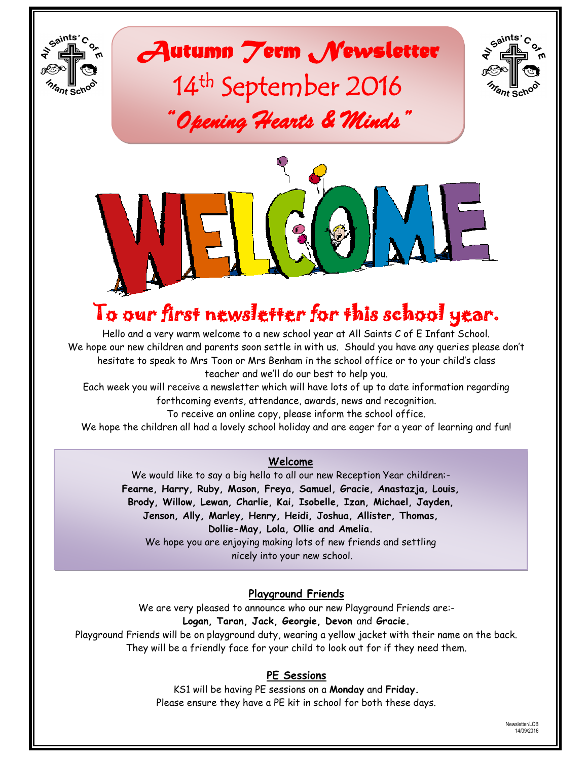

 $6^{ahits'}$ C





# To our first newsletter for this school year.

Hello and a very warm welcome to a new school year at All Saints C of E Infant School. We hope our new children and parents soon settle in with us. Should you have any queries please don"t hesitate to speak to Mrs Toon or Mrs Benham in the school office or to your child"s class teacher and we"ll do our best to help you.

Each week you will receive a newsletter which will have lots of up to date information regarding forthcoming events, attendance, awards, news and recognition.

To receive an online copy, please inform the school office.

We hope the children all had a lovely school holiday and are eager for a year of learning and fun!

#### **Welcome**

We would like to say a big hello to all our new Reception Year children:- **Fearne, Harry, Ruby, Mason, Freya, Samuel, Gracie, Anastazja, Louis, Brody, Willow, Lewan, Charlie, Kai, Isobelle, Izan, Michael, Jayden, Jenson, Ally, Marley, Henry, Heidi, Joshua, Allister, Thomas, Dollie-May, Lola, Ollie and Amelia.** We hope you are enjoying making lots of new friends and settling nicely into your new school.

**Playground Friends**

We are very pleased to announce who our new Playground Friends are:- **Logan, Taran, Jack, Georgie, Devon** and **Gracie.** Playground Friends will be on playground duty, wearing a yellow jacket with their name on the back.

They will be a friendly face for your child to look out for if they need them.

### **PE Sessions**

KS1 will be having PE sessions on a **Monday** and **Friday.** Please ensure they have a PE kit in school for both these days.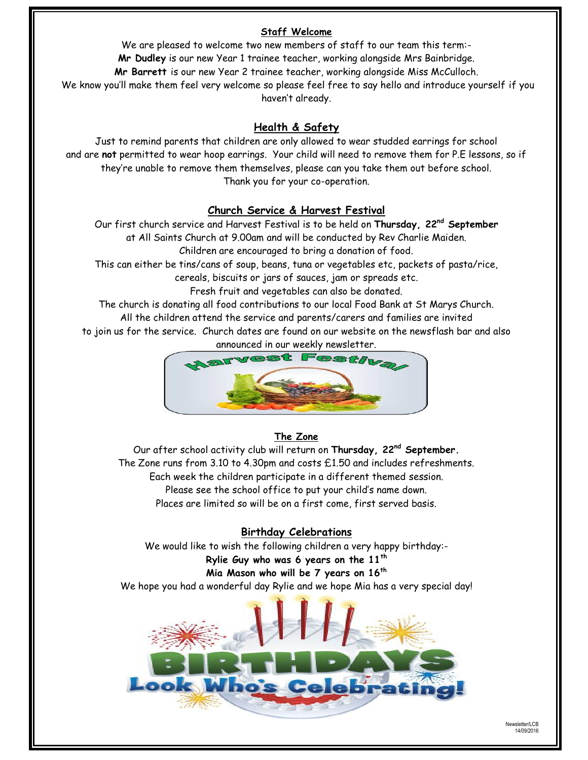#### **Staff Welcome**

We are pleased to welcome two new members of staff to our team this term:- **Mr Dudley** is our new Year 1 trainee teacher, working alongside Mrs Bainbridge. **Mr Barrett** is our new Year 2 trainee teacher, working alongside Miss McCulloch. We know you"ll make them feel very welcome so please feel free to say hello and introduce yourself if you haven"t already.

#### **Health & Safety**

Just to remind parents that children are only allowed to wear studded earrings for school and are **not** permitted to wear hoop earrings. Your child will need to remove them for P.E lessons, so if they"re unable to remove them themselves, please can you take them out before school. Thank you for your co-operation.

#### **Church Service & Harvest Festival**

Our first church service and Harvest Festival is to be held on **Thursday, 22nd September** at All Saints Church at 9.00am and will be conducted by Rev Charlie Maiden.

Children are encouraged to bring a donation of food.

This can either be tins/cans of soup, beans, tuna or vegetables etc, packets of pasta/rice, cereals, biscuits or jars of sauces, jam or spreads etc.

Fresh fruit and vegetables can also be donated.

The church is donating all food contributions to our local Food Bank at St Marys Church. All the children attend the service and parents/carers and families are invited

to join us for the service. Church dates are found on our website on the newsflash bar and also announced in our weekly newsletter.



### **The Zone**

Our after school activity club will return on **Thursday, 22nd September.** The Zone runs from 3.10 to 4.30pm and costs £1.50 and includes refreshments. Each week the children participate in a different themed session. Please see the school office to put your child"s name down. Places are limited so will be on a first come, first served basis.

#### **Birthday Celebrations**

We would like to wish the following children a very happy birthday:-

# **Rylie Guy who was 6 years on the 11th**

### **Mia Mason who will be 7 years on 16th**

We hope you had a wonderful day Rylie and we hope Mia has a very special day!

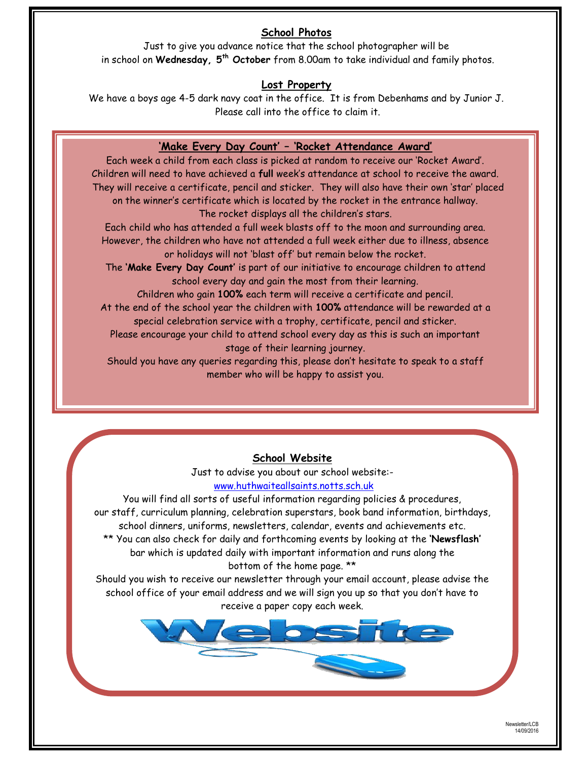## **School Photos**

Just to give you advance notice that the school photographer will be in school on **Wednesday, 5th October** from 8.00am to take individual and family photos.

### **Lost Property**

We have a boys age 4-5 dark navy coat in the office. It is from Debenhams and by Junior J. Please call into the office to claim it.

# **'Make Every Day Count' – 'Rocket Attendance Award'**

Each week a child from each class is picked at random to receive our "Rocket Award". Children will need to have achieved a **full** week"s attendance at school to receive the award. They will receive a certificate, pencil and sticker. They will also have their own "star" placed on the winner"s certificate which is located by the rocket in the entrance hallway. The rocket displays all the children's stars.

Each child who has attended a full week blasts off to the moon and surrounding area. However, the children who have not attended a full week either due to illness, absence or holidays will not "blast off" but remain below the rocket.

The **'Make Every Day Count'** is part of our initiative to encourage children to attend school every day and gain the most from their learning.

Children who gain **100%** each term will receive a certificate and pencil. At the end of the school year the children with **100%** attendance will be rewarded at a special celebration service with a trophy, certificate, pencil and sticker.

Please encourage your child to attend school every day as this is such an important stage of their learning journey.

Should you have any queries regarding this, please don't hesitate to speak to a staff member who will be happy to assist you.

# **School Website**

Just to advise you about our school website: [www.huthwaiteallsaints.notts.sch.uk](http://www.huthwaiteallsaints.notts.sch.uk/) 

You will find all sorts of useful information regarding policies & procedures, our staff, curriculum planning, celebration superstars, book band information, birthdays, school dinners, uniforms, newsletters, calendar, events and achievements etc. \*\* You can also check for daily and forthcoming events by looking at the **'Newsflash'** bar which is updated daily with important information and runs along the bottom of the home page. \*\*

Should you wish to receive our newsletter through your email account, please advise the school office of your email address and we will sign you up so that you don"t have to receive a paper copy each week.